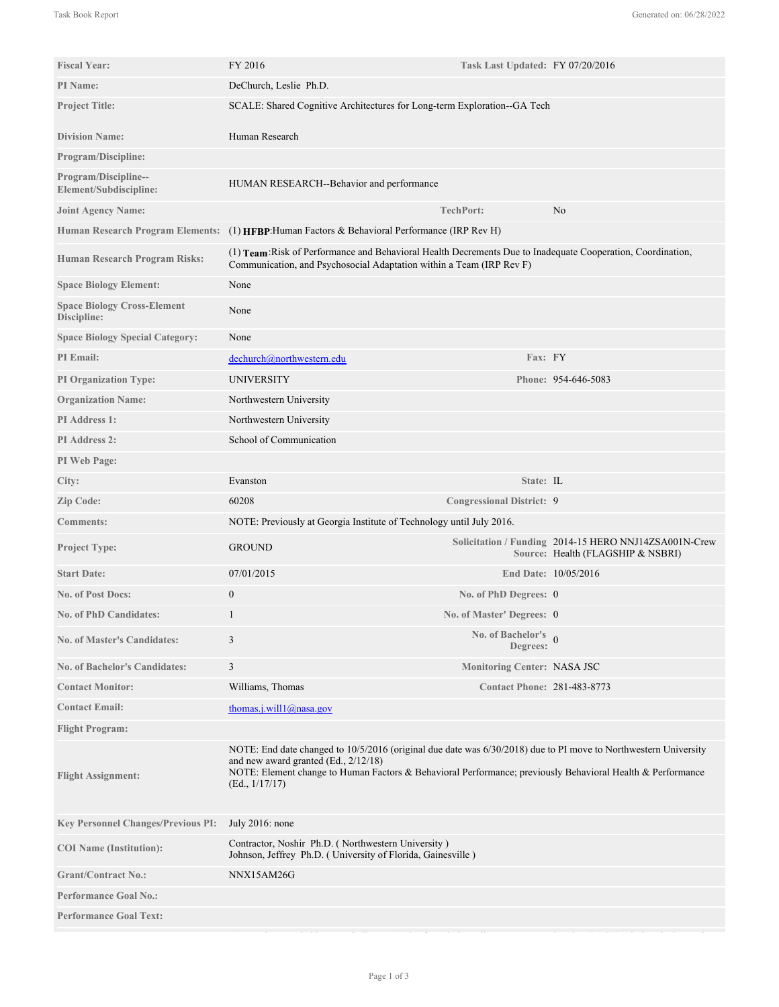| <b>Fiscal Year:</b>                               | FY 2016                                                                                                                                                                                                                                                                                   | Task Last Updated: FY 07/20/2016       |                                                                                            |
|---------------------------------------------------|-------------------------------------------------------------------------------------------------------------------------------------------------------------------------------------------------------------------------------------------------------------------------------------------|----------------------------------------|--------------------------------------------------------------------------------------------|
| PI Name:                                          | DeChurch, Leslie Ph.D.                                                                                                                                                                                                                                                                    |                                        |                                                                                            |
| <b>Project Title:</b>                             | SCALE: Shared Cognitive Architectures for Long-term Exploration--GA Tech                                                                                                                                                                                                                  |                                        |                                                                                            |
| <b>Division Name:</b>                             | Human Research                                                                                                                                                                                                                                                                            |                                        |                                                                                            |
| <b>Program/Discipline:</b>                        |                                                                                                                                                                                                                                                                                           |                                        |                                                                                            |
| Program/Discipline--<br>Element/Subdiscipline:    | HUMAN RESEARCH--Behavior and performance                                                                                                                                                                                                                                                  |                                        |                                                                                            |
| <b>Joint Agency Name:</b>                         |                                                                                                                                                                                                                                                                                           | TechPort:                              | No                                                                                         |
|                                                   | Human Research Program Elements: (1) HFBP: Human Factors & Behavioral Performance (IRP Rev H)                                                                                                                                                                                             |                                        |                                                                                            |
| <b>Human Research Program Risks:</b>              | (1) Team: Risk of Performance and Behavioral Health Decrements Due to Inadequate Cooperation, Coordination,<br>Communication, and Psychosocial Adaptation within a Team (IRP Rev F)                                                                                                       |                                        |                                                                                            |
| <b>Space Biology Element:</b>                     | None                                                                                                                                                                                                                                                                                      |                                        |                                                                                            |
| <b>Space Biology Cross-Element</b><br>Discipline: | None                                                                                                                                                                                                                                                                                      |                                        |                                                                                            |
| <b>Space Biology Special Category:</b>            | None                                                                                                                                                                                                                                                                                      |                                        |                                                                                            |
| <b>PI</b> Email:                                  | dechurch@northwestern.edu                                                                                                                                                                                                                                                                 | Fax: FY                                |                                                                                            |
| <b>PI Organization Type:</b>                      | UNIVERSITY                                                                                                                                                                                                                                                                                |                                        | Phone: 954-646-5083                                                                        |
| <b>Organization Name:</b>                         | Northwestern University                                                                                                                                                                                                                                                                   |                                        |                                                                                            |
| <b>PI</b> Address 1:                              | Northwestern University                                                                                                                                                                                                                                                                   |                                        |                                                                                            |
| <b>PI Address 2:</b>                              | School of Communication                                                                                                                                                                                                                                                                   |                                        |                                                                                            |
| PI Web Page:                                      |                                                                                                                                                                                                                                                                                           |                                        |                                                                                            |
| City:                                             | Evanston                                                                                                                                                                                                                                                                                  | State: IL                              |                                                                                            |
| Zip Code:                                         | 60208                                                                                                                                                                                                                                                                                     | <b>Congressional District: 9</b>       |                                                                                            |
| <b>Comments:</b>                                  | NOTE: Previously at Georgia Institute of Technology until July 2016.                                                                                                                                                                                                                      |                                        |                                                                                            |
| <b>Project Type:</b>                              | <b>GROUND</b>                                                                                                                                                                                                                                                                             |                                        | Solicitation / Funding 2014-15 HERO NNJ14ZSA001N-Crew<br>Source: Health (FLAGSHIP & NSBRI) |
| <b>Start Date:</b>                                | 07/01/2015                                                                                                                                                                                                                                                                                |                                        | End Date: 10/05/2016                                                                       |
| <b>No. of Post Docs:</b>                          | $\overline{0}$                                                                                                                                                                                                                                                                            | No. of PhD Degrees: 0                  |                                                                                            |
| <b>No. of PhD Candidates:</b>                     | 1                                                                                                                                                                                                                                                                                         | No. of Master' Degrees: 0              |                                                                                            |
| <b>No. of Master's Candidates:</b>                | 3                                                                                                                                                                                                                                                                                         | No. of Bachelor's $\theta$<br>Degrees: |                                                                                            |
| No. of Bachelor's Candidates:                     | $\overline{3}$                                                                                                                                                                                                                                                                            | <b>Monitoring Center: NASA JSC</b>     |                                                                                            |
| <b>Contact Monitor:</b>                           | Williams, Thomas                                                                                                                                                                                                                                                                          | <b>Contact Phone: 281-483-8773</b>     |                                                                                            |
| <b>Contact Email:</b>                             | thomas.j.will $(a)$ nasa.gov                                                                                                                                                                                                                                                              |                                        |                                                                                            |
| <b>Flight Program:</b>                            |                                                                                                                                                                                                                                                                                           |                                        |                                                                                            |
| <b>Flight Assignment:</b>                         | NOTE: End date changed to 10/5/2016 (original due date was 6/30/2018) due to PI move to Northwestern University<br>and new award granted $(Ed., 2/12/18)$<br>NOTE: Element change to Human Factors & Behavioral Performance; previously Behavioral Health & Performance<br>(Ed., 1/17/17) |                                        |                                                                                            |
| <b>Key Personnel Changes/Previous PI:</b>         | July 2016: none                                                                                                                                                                                                                                                                           |                                        |                                                                                            |
| <b>COI</b> Name (Institution):                    | Contractor, Noshir Ph.D. (Northwestern University)<br>Johnson, Jeffrey Ph.D. (University of Florida, Gainesville)                                                                                                                                                                         |                                        |                                                                                            |
| <b>Grant/Contract No.:</b>                        | NNX15AM26G                                                                                                                                                                                                                                                                                |                                        |                                                                                            |
| <b>Performance Goal No.:</b>                      |                                                                                                                                                                                                                                                                                           |                                        |                                                                                            |
| <b>Performance Goal Text:</b>                     |                                                                                                                                                                                                                                                                                           |                                        |                                                                                            |

Among the remarkable team challenges NASA faces in long distance space exploration (LDSE) missions is the need to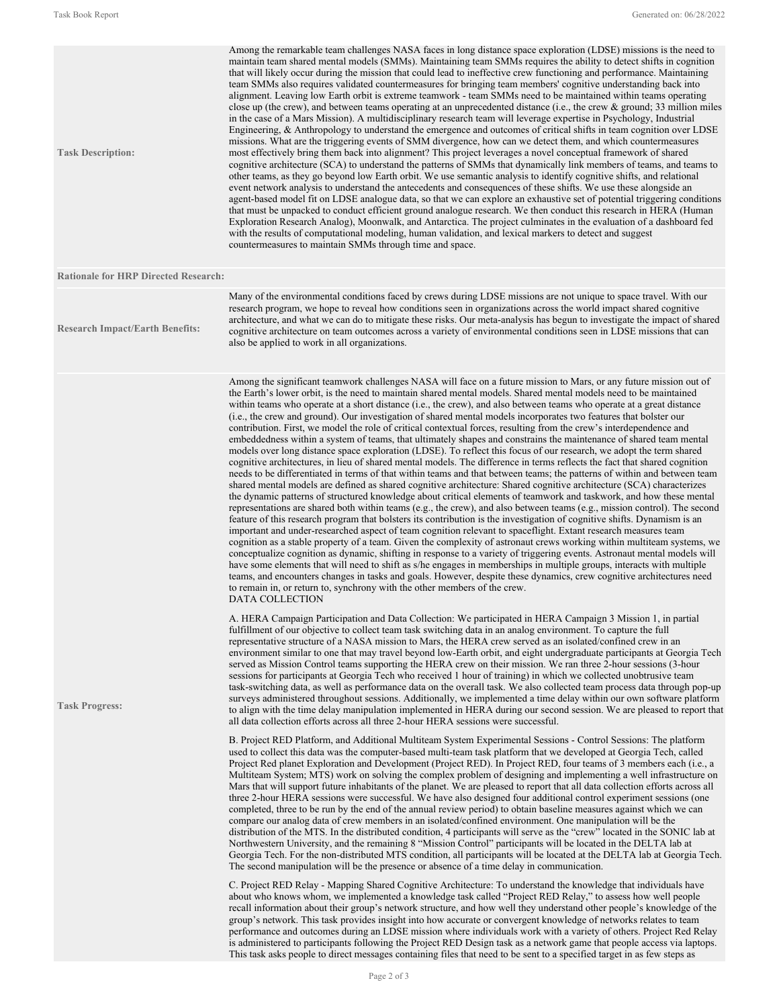| <b>Task Description:</b>                    | Among the remarkable team challenges NASA faces in long distance space exploration (LDSE) missions is the need to<br>maintain team shared mental models (SMMs). Maintaining team SMMs requires the ability to detect shifts in cognition<br>that will likely occur during the mission that could lead to ineffective crew functioning and performance. Maintaining<br>team SMMs also requires validated countermeasures for bringing team members' cognitive understanding back into<br>alignment. Leaving low Earth orbit is extreme teamwork - team SMMs need to be maintained within teams operating<br>close up (the crew), and between teams operating at an unprecedented distance (i.e., the crew $\&$ ground; 33 million miles<br>in the case of a Mars Mission). A multidisciplinary research team will leverage expertise in Psychology, Industrial<br>Engineering, $\&$ Anthropology to understand the emergence and outcomes of critical shifts in team cognition over LDSE<br>missions. What are the triggering events of SMM divergence, how can we detect them, and which countermeasures<br>most effectively bring them back into alignment? This project leverages a novel conceptual framework of shared<br>cognitive architecture (SCA) to understand the patterns of SMMs that dynamically link members of teams, and teams to<br>other teams, as they go beyond low Earth orbit. We use semantic analysis to identify cognitive shifts, and relational<br>event network analysis to understand the antecedents and consequences of these shifts. We use these alongside an<br>agent-based model fit on LDSE analogue data, so that we can explore an exhaustive set of potential triggering conditions<br>that must be unpacked to conduct efficient ground analogue research. We then conduct this research in HERA (Human<br>Exploration Research Analog), Moonwalk, and Antarctica. The project culminates in the evaluation of a dashboard fed<br>with the results of computational modeling, human validation, and lexical markers to detect and suggest<br>countermeasures to maintain SMMs through time and space.                                                                                                                                                                                                             |
|---------------------------------------------|------------------------------------------------------------------------------------------------------------------------------------------------------------------------------------------------------------------------------------------------------------------------------------------------------------------------------------------------------------------------------------------------------------------------------------------------------------------------------------------------------------------------------------------------------------------------------------------------------------------------------------------------------------------------------------------------------------------------------------------------------------------------------------------------------------------------------------------------------------------------------------------------------------------------------------------------------------------------------------------------------------------------------------------------------------------------------------------------------------------------------------------------------------------------------------------------------------------------------------------------------------------------------------------------------------------------------------------------------------------------------------------------------------------------------------------------------------------------------------------------------------------------------------------------------------------------------------------------------------------------------------------------------------------------------------------------------------------------------------------------------------------------------------------------------------------------------------------------------------------------------------------------------------------------------------------------------------------------------------------------------------------------------------------------------------------------------------------------------------------------------------------------------------------------------------------------------------------------------------------------------------------------------------------------------------------------------------------------------------|
| <b>Rationale for HRP Directed Research:</b> |                                                                                                                                                                                                                                                                                                                                                                                                                                                                                                                                                                                                                                                                                                                                                                                                                                                                                                                                                                                                                                                                                                                                                                                                                                                                                                                                                                                                                                                                                                                                                                                                                                                                                                                                                                                                                                                                                                                                                                                                                                                                                                                                                                                                                                                                                                                                                            |
| <b>Research Impact/Earth Benefits:</b>      | Many of the environmental conditions faced by crews during LDSE missions are not unique to space travel. With our<br>research program, we hope to reveal how conditions seen in organizations across the world impact shared cognitive<br>architecture, and what we can do to mitigate these risks. Our meta-analysis has begun to investigate the impact of shared<br>cognitive architecture on team outcomes across a variety of environmental conditions seen in LDSE missions that can<br>also be applied to work in all organizations.                                                                                                                                                                                                                                                                                                                                                                                                                                                                                                                                                                                                                                                                                                                                                                                                                                                                                                                                                                                                                                                                                                                                                                                                                                                                                                                                                                                                                                                                                                                                                                                                                                                                                                                                                                                                                |
|                                             | Among the significant teamwork challenges NASA will face on a future mission to Mars, or any future mission out of<br>the Earth's lower orbit, is the need to maintain shared mental models. Shared mental models need to be maintained<br>within teams who operate at a short distance (i.e., the crew), and also between teams who operate at a great distance<br>(i.e., the crew and ground). Our investigation of shared mental models incorporates two features that bolster our<br>contribution. First, we model the role of critical contextual forces, resulting from the crew's interdependence and<br>embeddedness within a system of teams, that ultimately shapes and constrains the maintenance of shared team mental<br>models over long distance space exploration (LDSE). To reflect this focus of our research, we adopt the term shared<br>cognitive architectures, in lieu of shared mental models. The difference in terms reflects the fact that shared cognition<br>needs to be differentiated in terms of that within teams and that between teams; the patterns of within and between team<br>shared mental models are defined as shared cognitive architecture: Shared cognitive architecture (SCA) characterizes<br>the dynamic patterns of structured knowledge about critical elements of teamwork and taskwork, and how these mental<br>representations are shared both within teams (e.g., the crew), and also between teams (e.g., mission control). The second<br>feature of this research program that bolsters its contribution is the investigation of cognitive shifts. Dynamism is an<br>important and under-researched aspect of team cognition relevant to spaceflight. Extant research measures team<br>cognition as a stable property of a team. Given the complexity of astronaut crews working within multiteam systems, we<br>conceptualize cognition as dynamic, shifting in response to a variety of triggering events. Astronaut mental models will<br>have some elements that will need to shift as s/he engages in memberships in multiple groups, interacts with multiple<br>teams, and encounters changes in tasks and goals. However, despite these dynamics, crew cognitive architectures need<br>to remain in, or return to, synchrony with the other members of the crew.<br><b>DATA COLLECTION</b> |
| <b>Task Progress:</b>                       | A. HERA Campaign Participation and Data Collection: We participated in HERA Campaign 3 Mission 1, in partial<br>fulfillment of our objective to collect team task switching data in an analog environment. To capture the full<br>representative structure of a NASA mission to Mars, the HERA crew served as an isolated/confined crew in an<br>environment similar to one that may travel beyond low-Earth orbit, and eight undergraduate participants at Georgia Tech<br>served as Mission Control teams supporting the HERA crew on their mission. We ran three 2-hour sessions (3-hour<br>sessions for participants at Georgia Tech who received 1 hour of training) in which we collected unobtrusive team<br>task-switching data, as well as performance data on the overall task. We also collected team process data through pop-up<br>surveys administered throughout sessions. Additionally, we implemented a time delay within our own software platform<br>to align with the time delay manipulation implemented in HERA during our second session. We are pleased to report that<br>all data collection efforts across all three 2-hour HERA sessions were successful.                                                                                                                                                                                                                                                                                                                                                                                                                                                                                                                                                                                                                                                                                                                                                                                                                                                                                                                                                                                                                                                                                                                                                                       |
|                                             | B. Project RED Platform, and Additional Multiteam System Experimental Sessions - Control Sessions: The platform<br>used to collect this data was the computer-based multi-team task platform that we developed at Georgia Tech, called<br>Project Red planet Exploration and Development (Project RED). In Project RED, four teams of 3 members each (i.e., a<br>Multiteam System; MTS) work on solving the complex problem of designing and implementing a well infrastructure on<br>Mars that will support future inhabitants of the planet. We are pleased to report that all data collection efforts across all<br>three 2-hour HERA sessions were successful. We have also designed four additional control experiment sessions (one<br>completed, three to be run by the end of the annual review period) to obtain baseline measures against which we can<br>compare our analog data of crew members in an isolated/confined environment. One manipulation will be the<br>distribution of the MTS. In the distributed condition, 4 participants will serve as the "crew" located in the SONIC lab at<br>Northwestern University, and the remaining 8 "Mission Control" participants will be located in the DELTA lab at<br>Georgia Tech. For the non-distributed MTS condition, all participants will be located at the DELTA lab at Georgia Tech.<br>The second manipulation will be the presence or absence of a time delay in communication.                                                                                                                                                                                                                                                                                                                                                                                                                                                                                                                                                                                                                                                                                                                                                                                                                                                                                                     |
|                                             | C. Project RED Relay - Mapping Shared Cognitive Architecture: To understand the knowledge that individuals have<br>about who knows whom, we implemented a knowledge task called "Project RED Relay," to assess how well people<br>recall information about their group's network structure, and how well they understand other people's knowledge of the<br>group's network. This task provides insight into how accurate or convergent knowledge of networks relates to team<br>performance and outcomes during an LDSE mission where individuals work with a variety of others. Project Red Relay<br>is administered to participants following the Project RED Design task as a network game that people access via laptops.                                                                                                                                                                                                                                                                                                                                                                                                                                                                                                                                                                                                                                                                                                                                                                                                                                                                                                                                                                                                                                                                                                                                                                                                                                                                                                                                                                                                                                                                                                                                                                                                                             |

This task asks people to direct messages containing files that need to be sent to a specified target in as few steps as